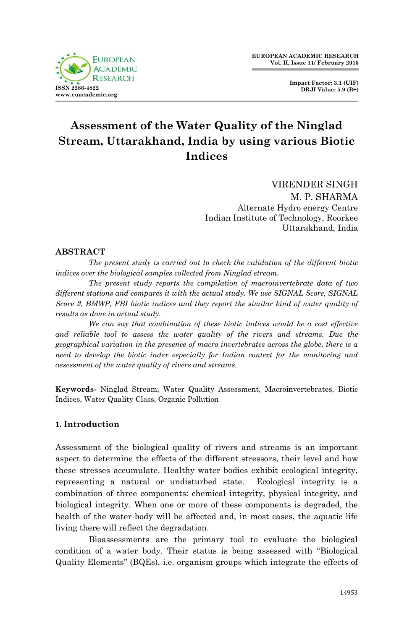

**Impact Factor: 3.1 (UIF) DRJI Value: 5.9 (B+)**

# **Assessment of the Water Quality of the Ninglad Stream, Uttarakhand, India by using various Biotic Indices**

VIRENDER SINGH M. P. SHARMA Alternate Hydro energy Centre Indian Institute of Technology, Roorkee Uttarakhand, India

## **ABSTRACT**

*The present study is carried out to check the validation of the different biotic indices over the biological samples collected from Ninglad stream.* 

*The present study reports the compilation of macroinvertebrate data of two different stations and compares it with the actual study. We use SIGNAL Score, SIGNAL Score 2, BMWP, FBI biotic indices and they report the similar kind of water quality of results as done in actual study.* 

*We can say that combination of these biotic indices would be a cost effective*  and reliable tool to assess the water quality of the rivers and streams. Due the *geographical variation in the presence of macro invertebrates across the globe, there is a need to develop the biotic index especially for Indian context for the monitoring and assessment of the water quality of rivers and streams.*

**Keywords-** Ninglad Stream, Water Quality Assessment, Macroinvertebrates, Biotic Indices, Water Quality Class, Organic Pollution

## **1. Introduction**

Assessment of the biological quality of rivers and streams is an important aspect to determine the effects of the different stressors, their level and how these stresses accumulate. Healthy water bodies exhibit ecological integrity, representing a natural or undisturbed state. Ecological integrity is a combination of three components: chemical integrity, physical integrity, and biological integrity. When one or more of these components is degraded, the health of the water body will be affected and, in most cases, the aquatic life living there will reflect the degradation.

Bioassessments are the primary tool to evaluate the biological condition of a water body. Their status is being assessed with ''Biological Quality Elements'' (BQEs), i.e. organism groups which integrate the effects of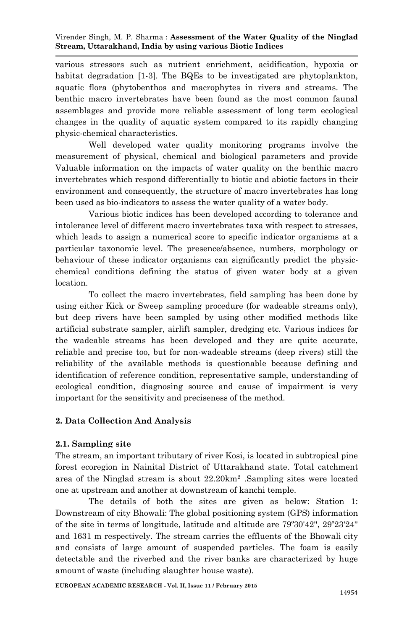various stressors such as nutrient enrichment, acidification, hypoxia or habitat degradation [1-3]. The BQEs to be investigated are phytoplankton, aquatic flora (phytobenthos and macrophytes in rivers and streams. The benthic macro invertebrates have been found as the most common faunal assemblages and provide more reliable assessment of long term ecological changes in the quality of aquatic system compared to its rapidly changing physic-chemical characteristics.

Well developed water quality monitoring programs involve the measurement of physical, chemical and biological parameters and provide Valuable information on the impacts of water quality on the benthic macro invertebrates which respond differentially to biotic and abiotic factors in their environment and consequently, the structure of macro invertebrates has long been used as bio-indicators to assess the water quality of a water body.

Various biotic indices has been developed according to tolerance and intolerance level of different macro invertebrates taxa with respect to stresses, which leads to assign a numerical score to specific indicator organisms at a particular taxonomic level. The presence/absence, numbers, morphology or behaviour of these indicator organisms can significantly predict the physicchemical conditions defining the status of given water body at a given location.

To collect the macro invertebrates, field sampling has been done by using either Kick or Sweep sampling procedure (for wadeable streams only), but deep rivers have been sampled by using other modified methods like artificial substrate sampler, airlift sampler, dredging etc. Various indices for the wadeable streams has been developed and they are quite accurate, reliable and precise too, but for non-wadeable streams (deep rivers) still the reliability of the available methods is questionable because defining and identification of reference condition, representative sample, understanding of ecological condition, diagnosing source and cause of impairment is very important for the sensitivity and preciseness of the method.

## **2. Data Collection And Analysis**

### **2.1. Sampling site**

The stream, an important tributary of river Kosi, is located in subtropical pine forest ecoregion in Nainital District of Uttarakhand state. Total catchment area of the Ninglad stream is about 22.20km<sup>2</sup> .Sampling sites were located one at upstream and another at downstream of kanchi temple.

The details of both the sites are given as below: Station 1: Downstream of city Bhowali: The global positioning system (GPS) information of the site in terms of longitude, latitude and altitude are 79º30'42'', 29º23'24'' and 1631 m respectively. The stream carries the effluents of the Bhowali city and consists of large amount of suspended particles. The foam is easily detectable and the riverbed and the river banks are characterized by huge amount of waste (including slaughter house waste).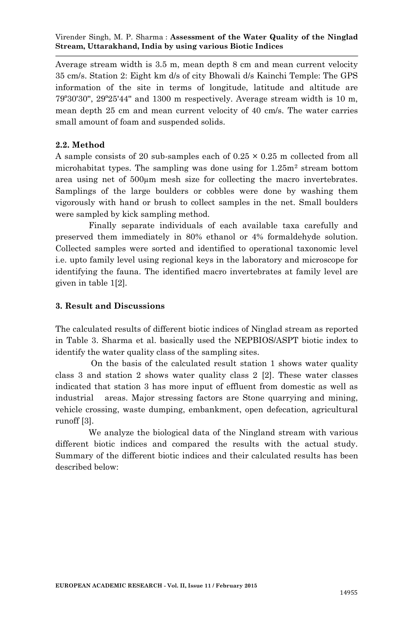Average stream width is 3.5 m, mean depth 8 cm and mean current velocity 35 cm/s. Station 2: Eight km d/s of city Bhowali d/s Kainchi Temple: The GPS information of the site in terms of longitude, latitude and altitude are 79º30'30'', 29º25'44'' and 1300 m respectively. Average stream width is 10 m, mean depth 25 cm and mean current velocity of 40 cm/s. The water carries small amount of foam and suspended solids.

#### **2.2. Method**

A sample consists of 20 sub-samples each of  $0.25 \times 0.25$  m collected from all microhabitat types. The sampling was done using for  $1.25m<sup>2</sup>$  stream bottom area using net of 500µm mesh size for collecting the macro invertebrates. Samplings of the large boulders or cobbles were done by washing them vigorously with hand or brush to collect samples in the net. Small boulders were sampled by kick sampling method.

Finally separate individuals of each available taxa carefully and preserved them immediately in 80% ethanol or 4% formaldehyde solution. Collected samples were sorted and identified to operational taxonomic level i.e. upto family level using regional keys in the laboratory and microscope for identifying the fauna. The identified macro invertebrates at family level are given in table 1[2].

#### **3. Result and Discussions**

The calculated results of different biotic indices of Ninglad stream as reported in Table 3. Sharma et al. basically used the NEPBIOS/ASPT biotic index to identify the water quality class of the sampling sites.

On the basis of the calculated result station 1 shows water quality class 3 and station 2 shows water quality class 2 [2]. These water classes indicated that station 3 has more input of effluent from domestic as well as industrial areas. Major stressing factors are Stone quarrying and mining, vehicle crossing, waste dumping, embankment, open defecation, agricultural runoff [3].

We analyze the biological data of the Ningland stream with various different biotic indices and compared the results with the actual study. Summary of the different biotic indices and their calculated results has been described below: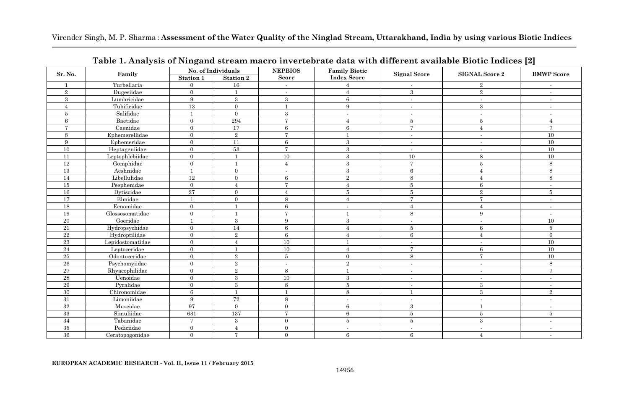|                | Family           | No. of Individuals<br><b>NEPBIOS</b> |                  |                          | <b>Family Biotic</b>    |                          |                          |                          |
|----------------|------------------|--------------------------------------|------------------|--------------------------|-------------------------|--------------------------|--------------------------|--------------------------|
| Sr. No.        |                  | Station 1                            | Station 2        | Score                    | <b>Index Score</b>      | <b>Signal Score</b>      | <b>SIGNAL Score 2</b>    | <b>BMWP Score</b>        |
| $\overline{1}$ | Turbellaria      | $\mathbf{0}$                         | 16               | $\sim$                   |                         | $\overline{\phantom{a}}$ | $\,2$                    | $\overline{\phantom{a}}$ |
| $\overline{2}$ | Dugesiidae       | $\overline{0}$                       | $\mathbf{1}$     | $\sim$                   | $\overline{4}$          | $\boldsymbol{3}$         | $\,2$                    | $\sim$                   |
| 3              | Lumbricidae      | 9                                    | $\boldsymbol{3}$ | 3                        | 6                       | $\overline{\phantom{a}}$ | $\overline{\phantom{a}}$ | $\sim$                   |
| $\overline{4}$ | Tubificidae      | 13                                   | $\overline{0}$   | $\mathbf{1}$             | 9                       | $\sim$                   | 3                        | $\sim$                   |
| 5              | Salifidae        | $\mathbf{1}$                         | $\overline{0}$   | 3                        | $\sim$                  | $\overline{\phantom{a}}$ | $\overline{\phantom{a}}$ | $\sim$                   |
| 6              | Baetidae         | $\mathbf{0}$                         | 294              | $\overline{7}$           | $\overline{4}$          | $5\overline{5}$          | 5                        | $\overline{4}$           |
| $\overline{7}$ | Caenidae         | $\mathbf{0}$                         | 17               | 6                        | 6                       | $\tau$                   | $\overline{4}$           | $\overline{7}$           |
| 8              | Ephemerellidae   | $\mathbf{0}$                         | $\,2$            | $\overline{7}$           |                         | $\sim$                   | $\overline{\phantom{a}}$ | 10                       |
| 9              | Ephemeridae      | $\mathbf{0}$                         | 11               | $\,6\,$                  | $\overline{\mathbf{3}}$ | $\overline{\phantom{a}}$ |                          | 10                       |
| 10             | Heptageniidae    | $\mathbf{0}$                         | 53               | $\overline{7}$           | $\overline{\mathbf{3}}$ | $\overline{\phantom{a}}$ | $\overline{\phantom{a}}$ | 10                       |
| 11             | Leptophlebiidae  | $\mathbf{0}$                         | $\mathbf{1}$     | 10                       | $\overline{\mathbf{3}}$ | 10                       | 8                        | 10                       |
| <sup>12</sup>  | Gomphidae        | $\overline{0}$                       | $\overline{1}$   | $\overline{4}$           | $\overline{\mathbf{3}}$ | $\overline{7}$           | $\overline{5}$           | 8                        |
| 13             | Aeshnidae        | $\mathbf{1}$                         | $\overline{0}$   | $\blacksquare$           | 3                       | 6                        | $\overline{4}$           | 8                        |
| 14             | Libellulidae     | 12                                   | $\overline{0}$   | 6                        | $\overline{2}$          | 8                        | $\overline{4}$           | 8                        |
| 15             | Psephenidae      | $\mathbf{0}$                         | $\overline{4}$   | $\overline{7}$           | $\overline{4}$          | $5\,$                    | $\boldsymbol{6}$         | $\sim$                   |
| 16             | Dytiscidae       | 27                                   | $\overline{0}$   | $\overline{4}$           | 5                       | $5\,$                    | $\overline{2}$           | $\bf 5$                  |
| 17             | Elmidae          | $\mathbf{1}$                         | $\overline{0}$   | 8                        | $\boldsymbol{\Delta}$   | $\overline{7}$           | $\overline{7}$           | $\overline{\phantom{a}}$ |
| 18             | Ecnomidae        | $\overline{0}$                       | $\overline{1}$   | 6                        | $\sim$                  | $\overline{4}$           | $\overline{A}$           | $\sim$                   |
| 19             | Glossosomatidae  | $\overline{0}$                       | 1                | $\overline{7}$           | 1                       | 8                        | 9                        | $\sim$                   |
| 20             | Goeridae         | $\mathbf{1}$                         | $\boldsymbol{3}$ | 9                        | 3                       | $\overline{\phantom{a}}$ | $\overline{\phantom{a}}$ | 10                       |
| 21             | Hydropsychidae   | $\overline{0}$                       | 14               | 6                        | $\overline{4}$          | 5                        | 6                        | $\bf 5$                  |
| 22             | Hydroptilidae    | $\overline{0}$                       | $\,2\,$          | 6                        | $\overline{4}$          | 6                        | $\overline{4}$           | 6                        |
| 23             | Lepidostomatidae | $\mathbf{0}$                         | $\overline{4}$   | 10                       | $\mathbf{1}$            | $\overline{\phantom{a}}$ | $\overline{\phantom{a}}$ | 10                       |
| 24             | Leptoceridae     | $\mathbf{0}$                         | $\mathbf{1}$     | 10                       | $\overline{4}$          | $\overline{7}$           | $\,6$                    | 10                       |
| 25             | Odontoceridae    | $\overline{0}$                       | $\overline{2}$   | 5                        | $\mathbf{0}$            | 8                        | $\overline{7}$           | 10                       |
| 26             | Psychomyiidae    | $\overline{0}$                       | $\,2\,$          | $\overline{\phantom{a}}$ | $\overline{2}$          | $\sim$                   | $\sim$                   | 8                        |
| 27             | Rhyacophilidae   | $\mathbf{0}$                         | $\,2\,$          | 8                        | $\mathbf{1}$            | $\sim$                   | $\sim$                   | $\overline{7}$           |
| $\bf 28$       | Uenoidae         | $\mathbf{0}$                         | $\boldsymbol{3}$ | $10\,$                   | $\mathbf{3}$            | $\overline{\phantom{a}}$ | $\sim$                   | $\sim$                   |
| 29             | Pyralidae        | $\mathbf{0}$                         | $\overline{3}$   | $\,$ 8 $\,$              | $\overline{5}$          | $\overline{\phantom{a}}$ | 3                        | $\sim$                   |
| 30             | Chironomidae     | $\,6\,$                              | $\mathbf{1}$     | $\mathbf{1}$             | 8                       |                          | $\,3$                    | $\,2\,$                  |
| 31             | Limoniidae       | 9                                    | 72               | 8                        | $\sim$                  | $\blacksquare$           | $\overline{\phantom{a}}$ | $\sim$                   |
| 32             | Muscidae         | 97                                   | $\overline{0}$   | $\overline{0}$           | 6                       | 3                        | $\mathbf{1}$             | $\overline{\phantom{a}}$ |
| 33             | Simuliidae       | 631                                  | 137              | $\overline{7}$           | 6                       | 5                        | 5                        | 5                        |
| 34             | Tabanidae        | $\overline{7}$                       | $\boldsymbol{3}$ | $\overline{0}$           | $5\,$                   | 5                        | $\,3$                    | $\overline{\phantom{a}}$ |
| $35\,$         | Pediciidae       | $\mathbf{0}$                         | $\overline{4}$   | $\overline{0}$           | ٠                       | $\overline{\phantom{a}}$ | $\overline{\phantom{a}}$ | $\overline{\phantom{a}}$ |
| 36             | Ceratopogonidae  | $\overline{0}$                       | $\overline{7}$   | $\overline{0}$           | 6                       | 6                        | $\overline{4}$           | $\sim$                   |

**Table 1. Analysis of Ningand stream macro invertebrate data with different available Biotic Indices [2]**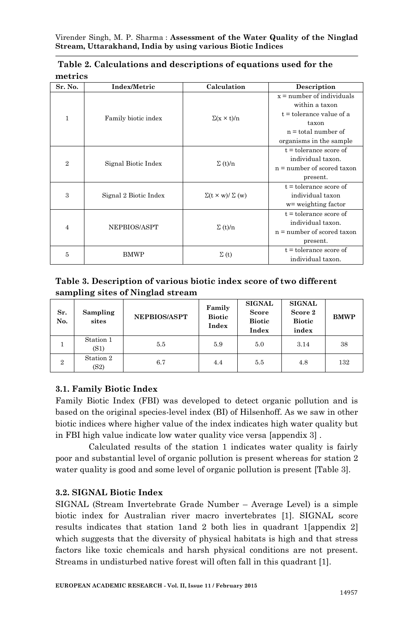| Sr. No.        | Index/Metric          | Calculation                    | Description                  |  |
|----------------|-----------------------|--------------------------------|------------------------------|--|
|                |                       |                                | $x = number of individuals$  |  |
|                |                       |                                | within a taxon               |  |
| $\mathbf{1}$   | Family biotic index   | $\Sigma(x \times t)/n$         | $t =$ tolerance value of a   |  |
|                |                       |                                | taxon                        |  |
|                |                       |                                | $n =$ total number of        |  |
|                |                       |                                | organisms in the sample      |  |
|                |                       |                                | $t =$ tolerance score of     |  |
| $\overline{2}$ | Signal Biotic Index   | $\Sigma(t)/n$                  | individual taxon.            |  |
|                |                       |                                | $n =$ number of scored taxon |  |
|                |                       |                                | present.                     |  |
|                |                       | $\Sigma(t \times w)/\Sigma(w)$ | $t =$ tolerance score of     |  |
| 3              | Signal 2 Biotic Index |                                | individual taxon             |  |
|                |                       |                                | w= weighting factor          |  |
|                |                       |                                | $t =$ tolerance score of     |  |
| 4              | NEPBIOS/ASPT          | $\Sigma(t)/n$                  | individual taxon.            |  |
|                |                       |                                | $n =$ number of scored taxon |  |
|                |                       |                                | present.                     |  |
|                | <b>BMWP</b>           | $\Sigma(t)$                    | $t =$ tolerance score of     |  |
| 5              |                       |                                | individual taxon.            |  |

|         | Table 2. Calculations and descriptions of equations used for the |  |  |
|---------|------------------------------------------------------------------|--|--|
| metrics |                                                                  |  |  |

**Table 3. Description of various biotic index score of two different sampling sites of Ninglad stream**

| Sr.<br>No.     | Sampling<br>sites | <b>NEPBIOS/ASPT</b> | Family<br><b>Biotic</b><br>Index | <b>SIGNAL</b><br>Score<br><b>Biotic</b><br>Index | <b>SIGNAL</b><br>Score 2<br><b>Biotic</b><br>index | <b>BMWP</b> |
|----------------|-------------------|---------------------|----------------------------------|--------------------------------------------------|----------------------------------------------------|-------------|
|                | Station 1<br>(S1) | 5.5                 | 5.9                              | 5.0                                              | 3.14                                               | 38          |
| $\overline{2}$ | Station 2<br>(S2) | 6.7                 | 4.4                              | 5.5                                              | 4.8                                                | 132         |

## **3.1. Family Biotic Index**

Family Biotic Index (FBI) was developed to detect organic pollution and is based on the original species-level index (BI) of Hilsenhoff. As we saw in other biotic indices where higher value of the index indicates high water quality but in FBI high value indicate low water quality vice versa [appendix 3] .

Calculated results of the station 1 indicates water quality is fairly poor and substantial level of organic pollution is present whereas for station 2 water quality is good and some level of organic pollution is present [Table 3].

### **3.2. SIGNAL Biotic Index**

SIGNAL (Stream Invertebrate Grade Number – Average Level) is a simple biotic index for Australian river macro invertebrates [1]. SIGNAL score results indicates that station 1and 2 both lies in quadrant 1[appendix 2] which suggests that the diversity of physical habitats is high and that stress factors like toxic chemicals and harsh physical conditions are not present. Streams in undisturbed native forest will often fall in this quadrant [1].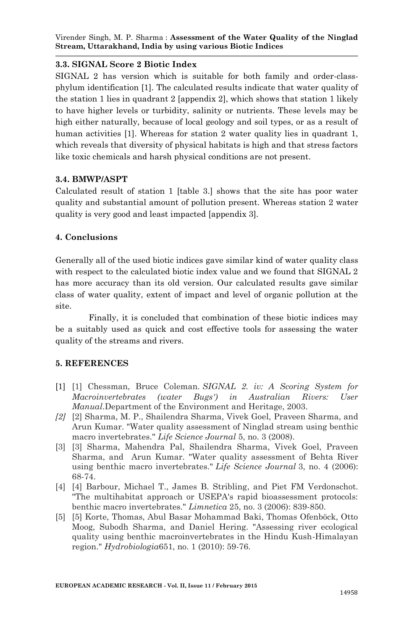## **3.3. SIGNAL Score 2 Biotic Index**

SIGNAL 2 has version which is suitable for both family and order-classphylum identification [1]. The calculated results indicate that water quality of the station 1 lies in quadrant 2 [appendix 2], which shows that station 1 likely to have higher levels or turbidity, salinity or nutrients. These levels may be high either naturally, because of local geology and soil types, or as a result of human activities [1]. Whereas for station 2 water quality lies in quadrant 1, which reveals that diversity of physical habitats is high and that stress factors like toxic chemicals and harsh physical conditions are not present.

## **3.4. BMWP/ASPT**

Calculated result of station 1 [table 3.] shows that the site has poor water quality and substantial amount of pollution present. Whereas station 2 water quality is very good and least impacted [appendix 3].

## **4. Conclusions**

Generally all of the used biotic indices gave similar kind of water quality class with respect to the calculated biotic index value and we found that SIGNAL 2 has more accuracy than its old version. Our calculated results gave similar class of water quality, extent of impact and level of organic pollution at the site.

Finally, it is concluded that combination of these biotic indices may be a suitably used as quick and cost effective tools for assessing the water quality of the streams and rivers.

### **5. REFERENCES**

- [1] [1] Chessman, Bruce Coleman. *SIGNAL 2. iv: A Scoring System for Macroinvertebrates (water Bugs') in Australian Rivers: User Manual*.Department of the Environment and Heritage, 2003.
- *[2]* [2] Sharma, M. P., Shailendra Sharma, Vivek Goel, Praveen Sharma, and Arun Kumar. "Water quality assessment of Ninglad stream using benthic macro invertebrates." *Life Science Journal* 5, no. 3 (2008).
- [3] [3] Sharma, Mahendra Pal, Shailendra Sharma, Vivek Goel, Praveen Sharma, and Arun Kumar. "Water quality assessment of Behta River using benthic macro invertebrates." *Life Science Journal* 3, no. 4 (2006): 68-74.
- [4] [4] Barbour, Michael T., James B. Stribling, and Piet FM Verdonschot. "The multihabitat approach or USEPA's rapid bioassessment protocols: benthic macro invertebrates." *Limnetica* 25, no. 3 (2006): 839-850.
- [5] [5] Korte, Thomas, Abul Basar Mohammad Baki, Thomas Ofenböck, Otto Moog, Subodh Sharma, and Daniel Hering. "Assessing river ecological quality using benthic macroinvertebrates in the Hindu Kush-Himalayan region." *Hydrobiologia*651, no. 1 (2010): 59-76.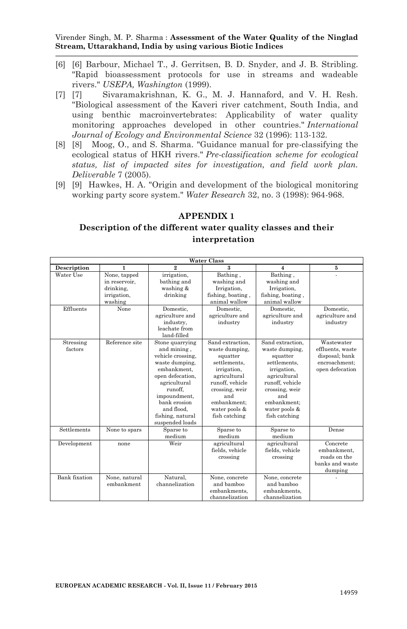- [6] [6] Barbour, Michael T., J. Gerritsen, B. D. Snyder, and J. B. Stribling. "Rapid bioassessment protocols for use in streams and wadeable rivers." *USEPA, Washington* (1999).
- [7] [7] Sivaramakrishnan, K. G., M. J. Hannaford, and V. H. Resh. "Biological assessment of the Kaveri river catchment, South India, and using benthic macroinvertebrates: Applicability of water quality monitoring approaches developed in other countries." *International Journal of Ecology and Environmental Science* 32 (1996): 113-132.
- [8] [8] Moog, O., and S. Sharma. "Guidance manual for pre-classifying the ecological status of HKH rivers." *Pre-classification scheme for ecological status, list of impacted sites for investigation, and field work plan. Deliverable* 7 (2005).
- [9] [9] Hawkes, H. A. "Origin and development of the biological monitoring working party score system." *Water Research* 32, no. 3 (1998): 964-968.

#### **APPENDIX 1**

## **Description of the different water quality classes and their interpretation**

| <b>Water Class</b>   |                                                                      |                                                                                                                                                                                                                          |                                                                                                                                                                                            |                                                                                                                                                                                            |                                                                                      |  |
|----------------------|----------------------------------------------------------------------|--------------------------------------------------------------------------------------------------------------------------------------------------------------------------------------------------------------------------|--------------------------------------------------------------------------------------------------------------------------------------------------------------------------------------------|--------------------------------------------------------------------------------------------------------------------------------------------------------------------------------------------|--------------------------------------------------------------------------------------|--|
| Description          | 1                                                                    | $^{9}$                                                                                                                                                                                                                   | 3                                                                                                                                                                                          | $\overline{\mathbf{4}}$                                                                                                                                                                    | 5                                                                                    |  |
| Water Use            | None, tapped<br>in reservoir.<br>drinking,<br>irrigation,<br>washing | irrigation,<br>bathing and<br>washing &<br>drinking                                                                                                                                                                      | Bathing,<br>washing and<br>Irrigation,<br>fishing, boating,<br>animal wallow                                                                                                               | Bathing,<br>washing and<br>Irrigation,<br>fishing, boating,<br>animal wallow                                                                                                               |                                                                                      |  |
| Effluents            | None                                                                 | Domestic.<br>agriculture and<br>industry.<br>leachate from<br>land-filled                                                                                                                                                | Domestic.<br>agriculture and<br>industry                                                                                                                                                   | Domestic.<br>agriculture and<br>industry                                                                                                                                                   | Domestic.<br>agriculture and<br>industry                                             |  |
| Stressing<br>factors | Reference site                                                       | Stone quarrying<br>and mining.<br>vehicle crossing,<br>waste dumping.<br>embankment.<br>open defecation.<br>agricultural<br>runoff.<br>impoundment.<br>bank erosion<br>and flood.<br>fishing, natural<br>suspended loads | Sand extraction.<br>waste dumping,<br>squatter<br>settlements.<br>irrigation,<br>agricultural<br>runoff, vehicle<br>crossing, weir<br>and<br>embankment:<br>water pools &<br>fish catching | Sand extraction.<br>waste dumping.<br>squatter<br>settlements.<br>irrigation,<br>agricultural<br>runoff, vehicle<br>crossing, weir<br>and<br>embankment:<br>water pools &<br>fish catching | Wastewater<br>effluents, waste<br>disposal; bank<br>encroachment:<br>open defecation |  |
| <b>Settlements</b>   | None to spars                                                        | Sparse to<br>medium                                                                                                                                                                                                      | Sparse to<br>medium                                                                                                                                                                        | Sparse to<br>medium                                                                                                                                                                        | Dense                                                                                |  |
| Development          | none                                                                 | Weir                                                                                                                                                                                                                     | agricultural<br>fields, vehicle<br>crossing                                                                                                                                                | agricultural<br>fields, vehicle<br>crossing                                                                                                                                                | Concrete<br>embankment.<br>roads on the<br>banks and waste<br>dumping                |  |
| Bank fixation        | None, natural<br>embankment                                          | Natural.<br>channelization                                                                                                                                                                                               | None, concrete<br>and bamboo<br>embankments.<br>channelization                                                                                                                             | None, concrete<br>and bamboo<br>embankments.<br>channelization                                                                                                                             |                                                                                      |  |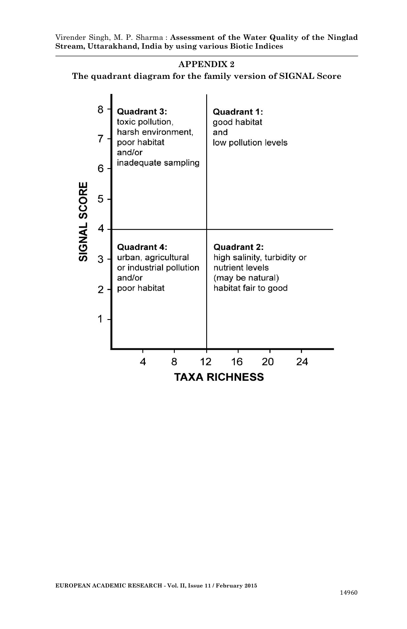# **APPENDIX 2**

**The quadrant diagram for the family version of SIGNAL Score**